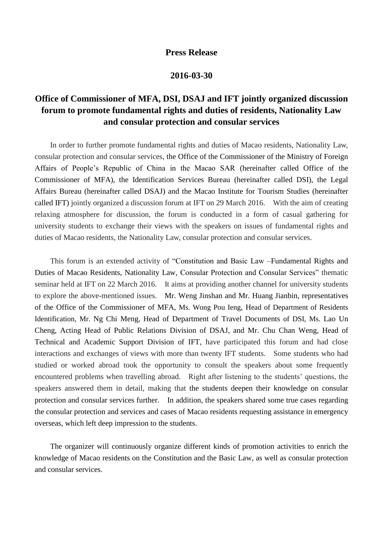## **Press Release**

## **2016-03-30**

## **Office of Commissioner of MFA, DSI, DSAJ and IFT jointly organized discussion forum to promote fundamental rights and duties of residents, Nationality Law and consular protection and consular services**

In order to further promote fundamental rights and duties of Macao residents, Nationality Law, consular protection and consular services, the Office of the Commissioner of the Ministry of Foreign Affairs of People's Republic of China in the Macao SAR (hereinafter called Office of the Commissioner of MFA), the Identification Services Bureau (hereinafter called DSI), the Legal Affairs Bureau (hereinafter called DSAJ) and the Macao Institute for Tourism Studies (hereinafter called IFT) jointly organized a discussion forum at IFT on 29 March 2016. With the aim of creating relaxing atmosphere for discussion, the forum is conducted in a form of casual gathering for university students to exchange their views with the speakers on issues of fundamental rights and duties of Macao residents, the Nationality Law, consular protection and consular services.

This forum is an extended activity of "Constitution and Basic Law –Fundamental Rights and Duties of Macao Residents, Nationality Law, Consular Protection and Consular Services" thematic seminar held at IFT on 22 March 2016. It aims at providing another channel for university students to explore the above-mentioned issues. Mr. Weng Jinshan and Mr. Huang Jianbin, representatives of the Office of the Commissioner of MFA, Ms. Wong Pou Ieng, Head of Department of Residents Identification, Mr. Ng Chi Meng, Head of Department of Travel Documents of DSI, Ms. Lao Un Cheng, Acting Head of Public Relations Division of DSAJ, and Mr. Chu Chan Weng, Head of Technical and Academic Support Division of IFT, have participated this forum and had close interactions and exchanges of views with more than twenty IFT students. Some students who had studied or worked abroad took the opportunity to consult the speakers about some frequently encountered problems when travelling abroad. Right after listening to the students' questions, the speakers answered them in detail, making that the students deepen their knowledge on consular protection and consular services further. In addition, the speakers shared some true cases regarding the consular protection and services and cases of Macao residents requesting assistance in emergency overseas, which left deep impression to the students.

The organizer will continuously organize different kinds of promotion activities to enrich the knowledge of Macao residents on the Constitution and the Basic Law, as well as consular protection and consular services.